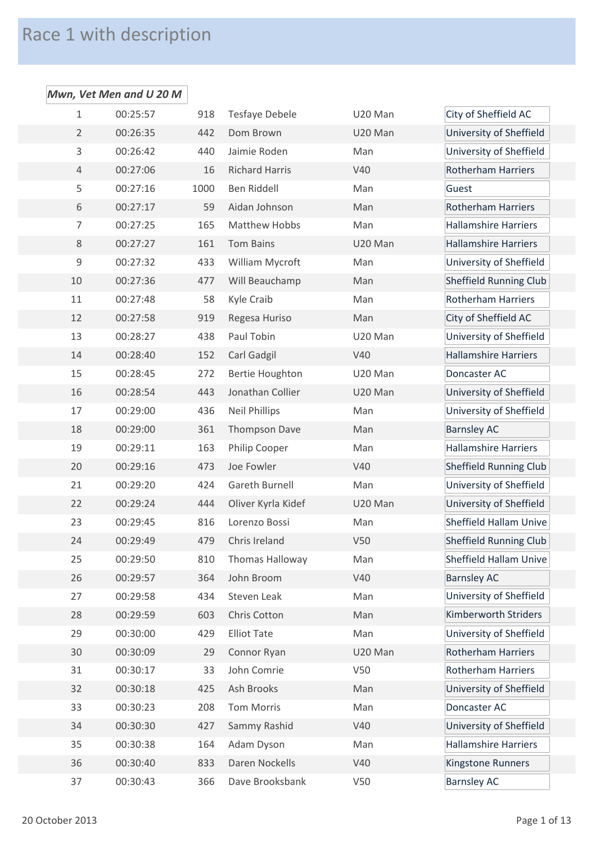## Race 1 with description

## *Mwn, Vet Men and U 20 M* 00:25:57 918 Tesfaye Debele U20 Man City of Sheffield AC 00:26:35 442 Dom Brown U20 Man University of Sheffield 00:26:42 440 Jaimie Roden Man University of Sheffield 00:27:06 16 Richard Harris V40 Rotherham Harriers 5 00:27:16 1000 Ben Riddell Man Man Guest 00:27:17 59 Aidan Johnson Man Rotherham Harriers 00:27:25 165 Matthew Hobbs Man Hallamshire Harriers 00:27:27 161 Tom Bains U20 Man Hallamshire Harriers 00:27:32 433 William Mycroft Man University of Sheffield 00:27:36 477 Will Beauchamp Man Sheffield Running Club 00:27:48 58 Kyle Craib Man Rotherham Harriers 00:27:58 919 Regesa Huriso Man City of Sheffield AC 00:28:27 438 Paul Tobin U20 Man University of Sheffield 00:28:40 152 Carl Gadgil V40 Hallamshire Harriers 00:28:45 272 Bertie Houghton U20 Man Doncaster AC 00:28:54 443 Jonathan Collier U20 Man University of Sheffield 00:29:00 436 Neil Phillips Man University of Sheffield 18 00:29:00 361 Thompson Dave Man Barnsley AC 00:29:11 163 Philip Cooper Man Hallamshire Harriers 20 00:29:16 473 Joe Fowler V40 V40 Sheffield Running Club 00:29:20 424 Gareth Burnell Man University of Sheffield 00:29:24 444 Oliver Kyrla Kidef U20 Man University of Sheffield 00:29:45 816 Lorenzo Bossi Man Sheffield Hallam Unive 00:29:49 479 Chris Ireland V50 Sheffield Running Club 00:29:50 810 Thomas Halloway Man Sheffield Hallam Unive 00:29:57 364 John Broom V40 Barnsley AC 00:29:58 434 Steven Leak Man University of Sheffield 00:29:59 603 Chris Cotton Man Kimberworth Striders 00:30:00 429 Elliot Tate Man University of Sheffield 00:30:09 29 Connor Ryan U20 Man Rotherham Harriers 00:30:17 33 John Comrie V50 Rotherham Harriers 00:30:18 425 Ash Brooks Man University of Sheffield 00:30:23 208 Tom Morris Man Doncaster AC 00:30:30 427 Sammy Rashid V40 University of Sheffield 00:30:38 164 Adam Dyson Man Hallamshire Harriers 00:30:40 833 Daren Nockells V40 Kingstone Runners 37 00:30:43 366 Dave Brooksbank V50 Barnsley AC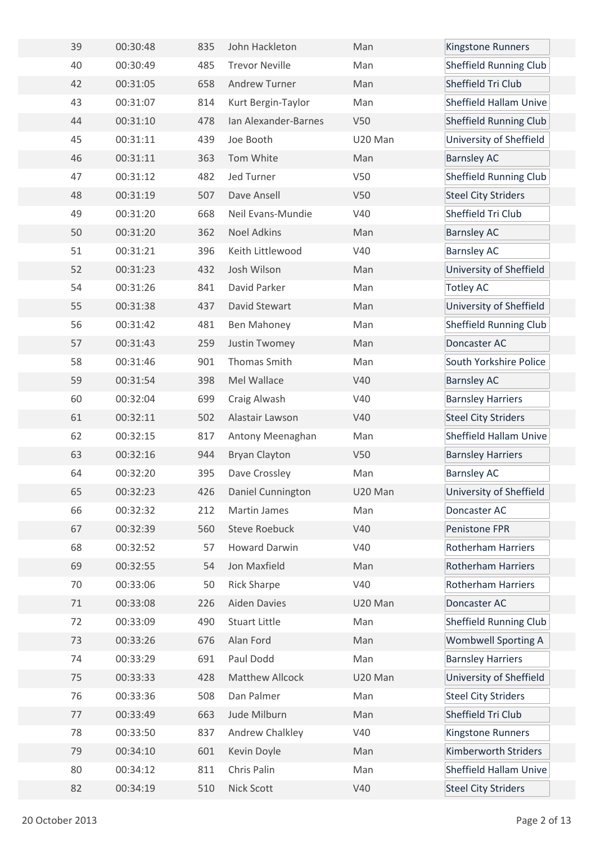| 39 | 00:30:48 | 835 | John Hackleton        | Man        | Kingstone Runners             |
|----|----------|-----|-----------------------|------------|-------------------------------|
| 40 | 00:30:49 | 485 | <b>Trevor Neville</b> | Man        | <b>Sheffield Running Club</b> |
| 42 | 00:31:05 | 658 | <b>Andrew Turner</b>  | Man        | Sheffield Tri Club            |
| 43 | 00:31:07 | 814 | Kurt Bergin-Taylor    | Man        | <b>Sheffield Hallam Unive</b> |
| 44 | 00:31:10 | 478 | Ian Alexander-Barnes  | V50        | <b>Sheffield Running Club</b> |
| 45 | 00:31:11 | 439 | Joe Booth             | U20 Man    | University of Sheffield       |
| 46 | 00:31:11 | 363 | Tom White             | Man        | <b>Barnsley AC</b>            |
| 47 | 00:31:12 | 482 | Jed Turner            | V50        | <b>Sheffield Running Club</b> |
| 48 | 00:31:19 | 507 | Dave Ansell           | <b>V50</b> | <b>Steel City Striders</b>    |
| 49 | 00:31:20 | 668 | Neil Evans-Mundie     | V40        | Sheffield Tri Club            |
| 50 | 00:31:20 | 362 | <b>Noel Adkins</b>    | Man        | <b>Barnsley AC</b>            |
| 51 | 00:31:21 | 396 | Keith Littlewood      | V40        | <b>Barnsley AC</b>            |
| 52 | 00:31:23 | 432 | Josh Wilson           | Man        | University of Sheffield       |
| 54 | 00:31:26 | 841 | David Parker          | Man        | <b>Totley AC</b>              |
| 55 | 00:31:38 | 437 | David Stewart         | Man        | University of Sheffield       |
| 56 | 00:31:42 | 481 | Ben Mahoney           | Man        | <b>Sheffield Running Club</b> |
| 57 | 00:31:43 | 259 | Justin Twomey         | Man        | Doncaster AC                  |
| 58 | 00:31:46 | 901 | Thomas Smith          | Man        | South Yorkshire Police        |
| 59 | 00:31:54 | 398 | Mel Wallace           | V40        | <b>Barnsley AC</b>            |
| 60 | 00:32:04 | 699 | Craig Alwash          | V40        | <b>Barnsley Harriers</b>      |
| 61 | 00:32:11 | 502 | Alastair Lawson       | V40        | <b>Steel City Striders</b>    |
| 62 | 00:32:15 | 817 | Antony Meenaghan      | Man        | <b>Sheffield Hallam Unive</b> |
| 63 | 00:32:16 | 944 | <b>Bryan Clayton</b>  | V50        | <b>Barnsley Harriers</b>      |
| 64 | 00:32:20 | 395 | Dave Crossley         | Man        | <b>Barnsley AC</b>            |
| 65 | 00:32:23 | 426 | Daniel Cunnington     | U20 Man    | University of Sheffield       |
| 66 | 00:32:32 | 212 | <b>Martin James</b>   | Man        | Doncaster AC                  |
| 67 | 00:32:39 | 560 | <b>Steve Roebuck</b>  | V40        | Penistone FPR                 |
| 68 | 00:32:52 | 57  | <b>Howard Darwin</b>  | V40        | <b>Rotherham Harriers</b>     |
| 69 | 00:32:55 | 54  | Jon Maxfield          | Man        | <b>Rotherham Harriers</b>     |
| 70 | 00:33:06 | 50  | <b>Rick Sharpe</b>    | V40        | <b>Rotherham Harriers</b>     |
| 71 | 00:33:08 | 226 | <b>Aiden Davies</b>   | U20 Man    | Doncaster AC                  |
| 72 | 00:33:09 | 490 | <b>Stuart Little</b>  | Man        | Sheffield Running Club        |
| 73 | 00:33:26 | 676 | Alan Ford             | Man        | <b>Wombwell Sporting A</b>    |
| 74 | 00:33:29 | 691 | Paul Dodd             | Man        | <b>Barnsley Harriers</b>      |
| 75 | 00:33:33 | 428 | Matthew Allcock       | U20 Man    | University of Sheffield       |
| 76 | 00:33:36 | 508 | Dan Palmer            | Man        | <b>Steel City Striders</b>    |
| 77 | 00:33:49 | 663 | Jude Milburn          | Man        | Sheffield Tri Club            |
| 78 | 00:33:50 | 837 | Andrew Chalkley       | V40        | Kingstone Runners             |
| 79 | 00:34:10 | 601 | Kevin Doyle           | Man        | Kimberworth Striders          |
| 80 | 00:34:12 | 811 | Chris Palin           | Man        | Sheffield Hallam Unive        |
| 82 | 00:34:19 | 510 | Nick Scott            | V40        | <b>Steel City Striders</b>    |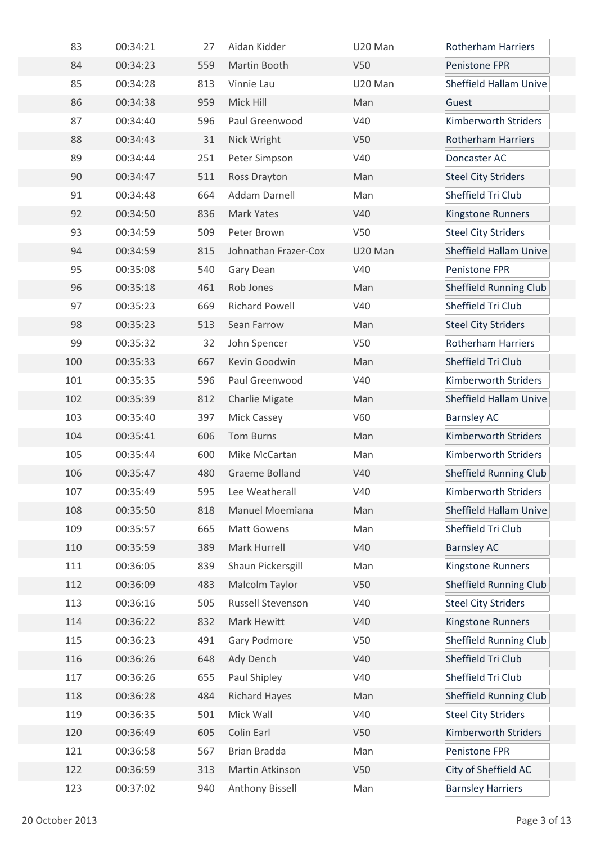| 83  | 00:34:21 | 27  | Aidan Kidder          | U20 Man         | <b>Rotherham Harriers</b>     |
|-----|----------|-----|-----------------------|-----------------|-------------------------------|
| 84  | 00:34:23 | 559 | Martin Booth          | V50             | Penistone FPR                 |
| 85  | 00:34:28 | 813 | Vinnie Lau            | U20 Man         | <b>Sheffield Hallam Unive</b> |
| 86  | 00:34:38 | 959 | Mick Hill             | Man             | Guest                         |
| 87  | 00:34:40 | 596 | Paul Greenwood        | V40             | Kimberworth Striders          |
| 88  | 00:34:43 | 31  | Nick Wright           | V <sub>50</sub> | <b>Rotherham Harriers</b>     |
| 89  | 00:34:44 | 251 | Peter Simpson         | V40             | Doncaster AC                  |
| 90  | 00:34:47 | 511 | Ross Drayton          | Man             | <b>Steel City Striders</b>    |
| 91  | 00:34:48 | 664 | Addam Darnell         | Man             | Sheffield Tri Club            |
| 92  | 00:34:50 | 836 | Mark Yates            | V40             | Kingstone Runners             |
| 93  | 00:34:59 | 509 | Peter Brown           | V50             | <b>Steel City Striders</b>    |
| 94  | 00:34:59 | 815 | Johnathan Frazer-Cox  | U20 Man         | <b>Sheffield Hallam Unive</b> |
| 95  | 00:35:08 | 540 | Gary Dean             | V40             | Penistone FPR                 |
| 96  | 00:35:18 | 461 | Rob Jones             | Man             | <b>Sheffield Running Club</b> |
| 97  | 00:35:23 | 669 | <b>Richard Powell</b> | V40             | Sheffield Tri Club            |
| 98  | 00:35:23 | 513 | Sean Farrow           | Man             | <b>Steel City Striders</b>    |
| 99  | 00:35:32 | 32  | John Spencer          | V50             | <b>Rotherham Harriers</b>     |
| 100 | 00:35:33 | 667 | Kevin Goodwin         | Man             | Sheffield Tri Club            |
| 101 | 00:35:35 | 596 | Paul Greenwood        | V40             | Kimberworth Striders          |
| 102 | 00:35:39 | 812 | <b>Charlie Migate</b> | Man             | <b>Sheffield Hallam Unive</b> |
| 103 | 00:35:40 | 397 | Mick Cassey           | V60             | <b>Barnsley AC</b>            |
| 104 | 00:35:41 | 606 | <b>Tom Burns</b>      | Man             | Kimberworth Striders          |
| 105 | 00:35:44 | 600 | Mike McCartan         | Man             | Kimberworth Striders          |
| 106 | 00:35:47 | 480 | Graeme Bolland        | V40             | <b>Sheffield Running Club</b> |
| 107 | 00:35:49 | 595 | Lee Weatherall        | V40             | Kimberworth Striders          |
| 108 | 00:35:50 | 818 | Manuel Moemiana       | Man             | <b>Sheffield Hallam Unive</b> |
| 109 | 00:35:57 | 665 | <b>Matt Gowens</b>    | Man             | Sheffield Tri Club            |
| 110 | 00:35:59 | 389 | Mark Hurrell          | V40             | <b>Barnsley AC</b>            |
| 111 | 00:36:05 | 839 | Shaun Pickersgill     | Man             | Kingstone Runners             |
| 112 | 00:36:09 | 483 | Malcolm Taylor        | <b>V50</b>      | <b>Sheffield Running Club</b> |
| 113 | 00:36:16 | 505 | Russell Stevenson     | V40             | <b>Steel City Striders</b>    |
| 114 | 00:36:22 | 832 | Mark Hewitt           | V40             | Kingstone Runners             |
| 115 | 00:36:23 | 491 | Gary Podmore          | V50             | <b>Sheffield Running Club</b> |
| 116 | 00:36:26 | 648 | Ady Dench             | V40             | Sheffield Tri Club            |
| 117 | 00:36:26 | 655 | Paul Shipley          | V40             | Sheffield Tri Club            |
| 118 | 00:36:28 | 484 | <b>Richard Hayes</b>  | Man             | <b>Sheffield Running Club</b> |
| 119 | 00:36:35 | 501 | Mick Wall             | V40             | <b>Steel City Striders</b>    |
| 120 | 00:36:49 | 605 | Colin Earl            | V50             | Kimberworth Striders          |
| 121 | 00:36:58 | 567 | Brian Bradda          | Man             | Penistone FPR                 |
| 122 | 00:36:59 | 313 | Martin Atkinson       | V50             | City of Sheffield AC          |
| 123 | 00:37:02 | 940 | Anthony Bissell       | Man             | <b>Barnsley Harriers</b>      |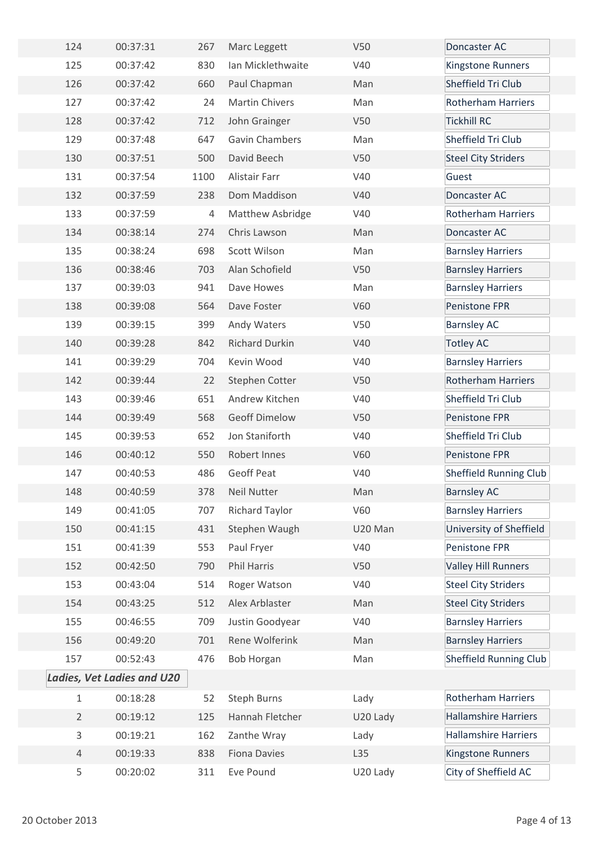| 124            | 00:37:31                          | 267  | Marc Leggett          | <b>V50</b> | Doncaster AC                  |
|----------------|-----------------------------------|------|-----------------------|------------|-------------------------------|
| 125            | 00:37:42                          | 830  | Ian Micklethwaite     | V40        | Kingstone Runners             |
| 126            | 00:37:42                          | 660  | Paul Chapman          | Man        | Sheffield Tri Club            |
| 127            | 00:37:42                          | 24   | <b>Martin Chivers</b> | Man        | <b>Rotherham Harriers</b>     |
| 128            | 00:37:42                          | 712  | John Grainger         | V50        | <b>Tickhill RC</b>            |
| 129            | 00:37:48                          | 647  | Gavin Chambers        | Man        | Sheffield Tri Club            |
| 130            | 00:37:51                          | 500  | David Beech           | V50        | <b>Steel City Striders</b>    |
| 131            | 00:37:54                          | 1100 | Alistair Farr         | V40        | Guest                         |
| 132            | 00:37:59                          | 238  | Dom Maddison          | V40        | Doncaster AC                  |
| 133            | 00:37:59                          | 4    | Matthew Asbridge      | V40        | <b>Rotherham Harriers</b>     |
| 134            | 00:38:14                          | 274  | Chris Lawson          | Man        | Doncaster AC                  |
| 135            | 00:38:24                          | 698  | Scott Wilson          | Man        | <b>Barnsley Harriers</b>      |
| 136            | 00:38:46                          | 703  | Alan Schofield        | V50        | <b>Barnsley Harriers</b>      |
| 137            | 00:39:03                          | 941  | Dave Howes            | Man        | <b>Barnsley Harriers</b>      |
| 138            | 00:39:08                          | 564  | Dave Foster           | V60        | Penistone FPR                 |
| 139            | 00:39:15                          | 399  | Andy Waters           | V50        | <b>Barnsley AC</b>            |
| 140            | 00:39:28                          | 842  | <b>Richard Durkin</b> | V40        | <b>Totley AC</b>              |
| 141            | 00:39:29                          | 704  | Kevin Wood            | V40        | <b>Barnsley Harriers</b>      |
| 142            | 00:39:44                          | 22   | Stephen Cotter        | V50        | <b>Rotherham Harriers</b>     |
| 143            | 00:39:46                          | 651  | Andrew Kitchen        | V40        | Sheffield Tri Club            |
| 144            | 00:39:49                          | 568  | <b>Geoff Dimelow</b>  | <b>V50</b> | Penistone FPR                 |
| 145            | 00:39:53                          | 652  | Jon Staniforth        | V40        | Sheffield Tri Club            |
| 146            | 00:40:12                          | 550  | Robert Innes          | V60        | Penistone FPR                 |
| 147            | 00:40:53                          | 486  | Geoff Peat            | V40        | <b>Sheffield Running Club</b> |
| 148            | 00:40:59                          | 378  | <b>Neil Nutter</b>    | Man        | <b>Barnsley AC</b>            |
| 149            | 00:41:05                          | 707  | <b>Richard Taylor</b> | V60        | <b>Barnsley Harriers</b>      |
| 150            | 00:41:15                          | 431  | Stephen Waugh         | U20 Man    | University of Sheffield       |
| 151            | 00:41:39                          | 553  | Paul Fryer            | V40        | Penistone FPR                 |
| 152            | 00:42:50                          | 790  | Phil Harris           | V50        | <b>Valley Hill Runners</b>    |
| 153            | 00:43:04                          | 514  | Roger Watson          | V40        | <b>Steel City Striders</b>    |
| 154            | 00:43:25                          | 512  | Alex Arblaster        | Man        | <b>Steel City Striders</b>    |
| 155            | 00:46:55                          | 709  | Justin Goodyear       | V40        | <b>Barnsley Harriers</b>      |
| 156            | 00:49:20                          | 701  | Rene Wolferink        | Man        | <b>Barnsley Harriers</b>      |
| 157            | 00:52:43                          | 476  | <b>Bob Horgan</b>     | Man        | <b>Sheffield Running Club</b> |
|                | <b>Ladies, Vet Ladies and U20</b> |      |                       |            |                               |
| $\mathbf{1}$   | 00:18:28                          | 52   | <b>Steph Burns</b>    | Lady       | <b>Rotherham Harriers</b>     |
| $\overline{2}$ | 00:19:12                          | 125  | Hannah Fletcher       | U20 Lady   | <b>Hallamshire Harriers</b>   |
| 3              | 00:19:21                          | 162  | Zanthe Wray           | Lady       | <b>Hallamshire Harriers</b>   |
| $\overline{4}$ | 00:19:33                          | 838  | <b>Fiona Davies</b>   | L35        | Kingstone Runners             |
| 5              | 00:20:02                          | 311  | Eve Pound             | U20 Lady   | City of Sheffield AC          |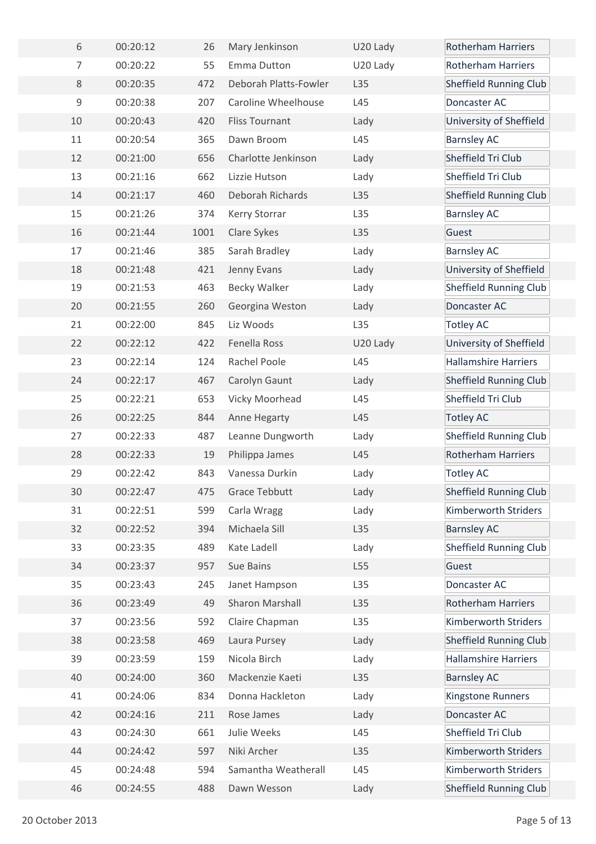| 6              | 00:20:12 | 26   | Mary Jenkinson             | U20 Lady | <b>Rotherham Harriers</b>     |
|----------------|----------|------|----------------------------|----------|-------------------------------|
| $\overline{7}$ | 00:20:22 | 55   | Emma Dutton                | U20 Lady | <b>Rotherham Harriers</b>     |
| 8              | 00:20:35 | 472  | Deborah Platts-Fowler      | L35      | <b>Sheffield Running Club</b> |
| $\mathsf 9$    | 00:20:38 | 207  | <b>Caroline Wheelhouse</b> | L45      | Doncaster AC                  |
| 10             | 00:20:43 | 420  | <b>Fliss Tournant</b>      | Lady     | University of Sheffield       |
| 11             | 00:20:54 | 365  | Dawn Broom                 | L45      | <b>Barnsley AC</b>            |
| 12             | 00:21:00 | 656  | Charlotte Jenkinson        | Lady     | Sheffield Tri Club            |
| 13             | 00:21:16 | 662  | Lizzie Hutson              | Lady     | Sheffield Tri Club            |
| 14             | 00:21:17 | 460  | Deborah Richards           | L35      | <b>Sheffield Running Club</b> |
| 15             | 00:21:26 | 374  | Kerry Storrar              | L35      | <b>Barnsley AC</b>            |
| 16             | 00:21:44 | 1001 | Clare Sykes                | L35      | Guest                         |
| 17             | 00:21:46 | 385  | Sarah Bradley              | Lady     | <b>Barnsley AC</b>            |
| 18             | 00:21:48 | 421  | Jenny Evans                | Lady     | University of Sheffield       |
| 19             | 00:21:53 | 463  | <b>Becky Walker</b>        | Lady     | <b>Sheffield Running Club</b> |
| 20             | 00:21:55 | 260  | Georgina Weston            | Lady     | Doncaster AC                  |
| 21             | 00:22:00 | 845  | Liz Woods                  | L35      | <b>Totley AC</b>              |
| 22             | 00:22:12 | 422  | Fenella Ross               | U20 Lady | University of Sheffield       |
| 23             | 00:22:14 | 124  | Rachel Poole               | L45      | <b>Hallamshire Harriers</b>   |
| 24             | 00:22:17 | 467  | Carolyn Gaunt              | Lady     | <b>Sheffield Running Club</b> |
| 25             | 00:22:21 | 653  | Vicky Moorhead             | L45      | Sheffield Tri Club            |
| 26             | 00:22:25 | 844  | Anne Hegarty               | L45      | <b>Totley AC</b>              |
| 27             | 00:22:33 | 487  | Leanne Dungworth           | Lady     | <b>Sheffield Running Club</b> |
| 28             | 00:22:33 | 19   | Philippa James             | L45      | <b>Rotherham Harriers</b>     |
| 29             | 00:22:42 | 843  | Vanessa Durkin             | Lady     | <b>Totley AC</b>              |
| 30             | 00:22:47 | 475  | <b>Grace Tebbutt</b>       | Lady     | Sheffield Running Club        |
| 31             | 00:22:51 | 599  | Carla Wragg                | Lady     | Kimberworth Striders          |
| 32             | 00:22:52 | 394  | Michaela Sill              | L35      | <b>Barnsley AC</b>            |
| 33             | 00:23:35 | 489  | Kate Ladell                | Lady     | <b>Sheffield Running Club</b> |
| 34             | 00:23:37 | 957  | Sue Bains                  | L55      | Guest                         |
| 35             | 00:23:43 | 245  | Janet Hampson              | L35      | Doncaster AC                  |
| 36             | 00:23:49 | 49   | <b>Sharon Marshall</b>     | L35      | Rotherham Harriers            |
| 37             | 00:23:56 | 592  | Claire Chapman             | L35      | Kimberworth Striders          |
| 38             | 00:23:58 | 469  | Laura Pursey               | Lady     | <b>Sheffield Running Club</b> |
| 39             | 00:23:59 | 159  | Nicola Birch               | Lady     | <b>Hallamshire Harriers</b>   |
| 40             | 00:24:00 | 360  | Mackenzie Kaeti            | L35      | <b>Barnsley AC</b>            |
| 41             | 00:24:06 | 834  | Donna Hackleton            | Lady     | Kingstone Runners             |
| 42             | 00:24:16 | 211  | Rose James                 | Lady     | Doncaster AC                  |
| 43             | 00:24:30 | 661  | Julie Weeks                | L45      | Sheffield Tri Club            |
| 44             | 00:24:42 | 597  | Niki Archer                | L35      | Kimberworth Striders          |
| 45             | 00:24:48 | 594  | Samantha Weatherall        | L45      | Kimberworth Striders          |
| 46             | 00:24:55 | 488  | Dawn Wesson                | Lady     | <b>Sheffield Running Club</b> |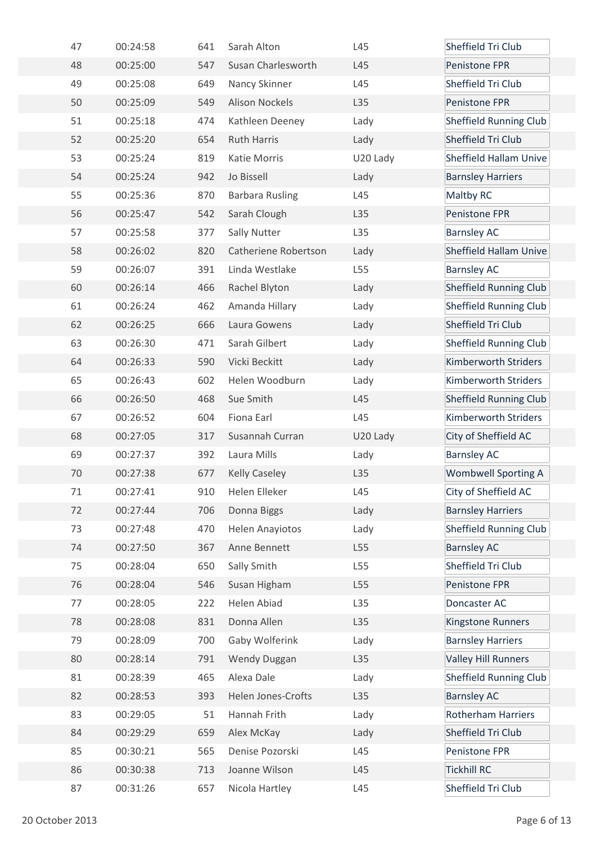| 47 | 00:24:58 | 641 | Sarah Alton            | L45      | Sheffield Tri Club            |
|----|----------|-----|------------------------|----------|-------------------------------|
| 48 | 00:25:00 | 547 | Susan Charlesworth     | L45      | Penistone FPR                 |
| 49 | 00:25:08 | 649 | Nancy Skinner          | L45      | Sheffield Tri Club            |
| 50 | 00:25:09 | 549 | <b>Alison Nockels</b>  | L35      | Penistone FPR                 |
| 51 | 00:25:18 | 474 | Kathleen Deeney        | Lady     | <b>Sheffield Running Club</b> |
| 52 | 00:25:20 | 654 | <b>Ruth Harris</b>     | Lady     | Sheffield Tri Club            |
| 53 | 00:25:24 | 819 | Katie Morris           | U20 Lady | <b>Sheffield Hallam Unive</b> |
| 54 | 00:25:24 | 942 | Jo Bissell             | Lady     | <b>Barnsley Harriers</b>      |
| 55 | 00:25:36 | 870 | <b>Barbara Rusling</b> | L45      | <b>Maltby RC</b>              |
| 56 | 00:25:47 | 542 | Sarah Clough           | L35      | Penistone FPR                 |
| 57 | 00:25:58 | 377 | Sally Nutter           | L35      | <b>Barnsley AC</b>            |
| 58 | 00:26:02 | 820 | Catheriene Robertson   | Lady     | <b>Sheffield Hallam Unive</b> |
| 59 | 00:26:07 | 391 | Linda Westlake         | L55      | <b>Barnsley AC</b>            |
| 60 | 00:26:14 | 466 | Rachel Blyton          | Lady     | <b>Sheffield Running Club</b> |
| 61 | 00:26:24 | 462 | Amanda Hillary         | Lady     | <b>Sheffield Running Club</b> |
| 62 | 00:26:25 | 666 | Laura Gowens           | Lady     | Sheffield Tri Club            |
| 63 | 00:26:30 | 471 | Sarah Gilbert          | Lady     | <b>Sheffield Running Club</b> |
| 64 | 00:26:33 | 590 | Vicki Beckitt          | Lady     | Kimberworth Striders          |
| 65 | 00:26:43 | 602 | Helen Woodburn         | Lady     | Kimberworth Striders          |
| 66 | 00:26:50 | 468 | Sue Smith              | L45      | <b>Sheffield Running Club</b> |
| 67 | 00:26:52 | 604 | Fiona Earl             | L45      | Kimberworth Striders          |
| 68 | 00:27:05 | 317 | Susannah Curran        | U20 Lady | City of Sheffield AC          |
| 69 | 00:27:37 | 392 | Laura Mills            | Lady     | <b>Barnsley AC</b>            |
| 70 | 00:27:38 | 677 | <b>Kelly Caseley</b>   | L35      | <b>Wombwell Sporting A</b>    |
| 71 | 00:27:41 | 910 | Helen Elleker          | L45      | City of Sheffield AC          |
| 72 | 00:27:44 | 706 | Donna Biggs            | Lady     | <b>Barnsley Harriers</b>      |
| 73 | 00:27:48 | 470 | <b>Helen Anayiotos</b> | Lady     | <b>Sheffield Running Club</b> |
| 74 | 00:27:50 | 367 | Anne Bennett           | L55      | <b>Barnsley AC</b>            |
| 75 | 00:28:04 | 650 | Sally Smith            | L55      | Sheffield Tri Club            |
| 76 | 00:28:04 | 546 | Susan Higham           | L55      | Penistone FPR                 |
| 77 | 00:28:05 | 222 | Helen Abiad            | L35      | Doncaster AC                  |
| 78 | 00:28:08 | 831 | Donna Allen            | L35      | Kingstone Runners             |
| 79 | 00:28:09 | 700 | Gaby Wolferink         | Lady     | <b>Barnsley Harriers</b>      |
| 80 | 00:28:14 | 791 | Wendy Duggan           | L35      | <b>Valley Hill Runners</b>    |
| 81 | 00:28:39 | 465 | Alexa Dale             | Lady     | <b>Sheffield Running Club</b> |
| 82 | 00:28:53 | 393 | Helen Jones-Crofts     | L35      | <b>Barnsley AC</b>            |
| 83 | 00:29:05 | 51  | Hannah Frith           | Lady     | <b>Rotherham Harriers</b>     |
| 84 | 00:29:29 | 659 | Alex McKay             | Lady     | Sheffield Tri Club            |
| 85 | 00:30:21 | 565 | Denise Pozorski        | L45      | Penistone FPR                 |
| 86 | 00:30:38 | 713 | Joanne Wilson          | L45      | <b>Tickhill RC</b>            |
| 87 | 00:31:26 | 657 | Nicola Hartley         | L45      | Sheffield Tri Club            |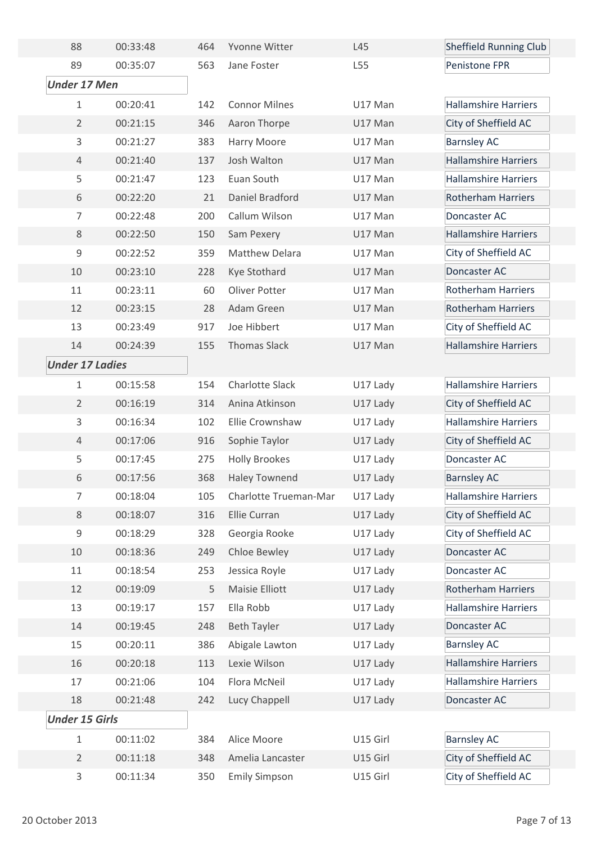| 88                     | 00:33:48 | 464 | Yvonne Witter          | L45      | <b>Sheffield Running Club</b> |
|------------------------|----------|-----|------------------------|----------|-------------------------------|
| 89                     | 00:35:07 | 563 | Jane Foster            | L55      | Penistone FPR                 |
| <b>Under 17 Men</b>    |          |     |                        |          |                               |
| 1                      | 00:20:41 | 142 | <b>Connor Milnes</b>   | U17 Man  | <b>Hallamshire Harriers</b>   |
| $\overline{2}$         | 00:21:15 | 346 | Aaron Thorpe           | U17 Man  | City of Sheffield AC          |
| 3                      | 00:21:27 | 383 | Harry Moore            | U17 Man  | <b>Barnsley AC</b>            |
| $\overline{4}$         | 00:21:40 | 137 | Josh Walton            | U17 Man  | <b>Hallamshire Harriers</b>   |
| 5                      | 00:21:47 | 123 | Euan South             | U17 Man  | <b>Hallamshire Harriers</b>   |
| 6                      | 00:22:20 | 21  | Daniel Bradford        | U17 Man  | <b>Rotherham Harriers</b>     |
| $\overline{7}$         | 00:22:48 | 200 | Callum Wilson          | U17 Man  | Doncaster AC                  |
| 8                      | 00:22:50 | 150 | Sam Pexery             | U17 Man  | <b>Hallamshire Harriers</b>   |
| 9                      | 00:22:52 | 359 | <b>Matthew Delara</b>  | U17 Man  | City of Sheffield AC          |
| 10                     | 00:23:10 | 228 | Kye Stothard           | U17 Man  | Doncaster AC                  |
| 11                     | 00:23:11 | 60  | Oliver Potter          | U17 Man  | <b>Rotherham Harriers</b>     |
| 12                     | 00:23:15 | 28  | Adam Green             | U17 Man  | <b>Rotherham Harriers</b>     |
| 13                     | 00:23:49 | 917 | Joe Hibbert            | U17 Man  | City of Sheffield AC          |
| 14                     | 00:24:39 | 155 | <b>Thomas Slack</b>    | U17 Man  | <b>Hallamshire Harriers</b>   |
| <b>Under 17 Ladies</b> |          |     |                        |          |                               |
| 1                      | 00:15:58 | 154 | <b>Charlotte Slack</b> | U17 Lady | <b>Hallamshire Harriers</b>   |
| $\overline{2}$         | 00:16:19 | 314 | Anina Atkinson         | U17 Lady | City of Sheffield AC          |
| 3                      | 00:16:34 | 102 | Ellie Crownshaw        | U17 Lady | <b>Hallamshire Harriers</b>   |
| $\overline{4}$         | 00:17:06 | 916 | Sophie Taylor          | U17 Lady | City of Sheffield AC          |
| 5                      | 00:17:45 | 275 | <b>Holly Brookes</b>   | U17 Lady | Doncaster AC                  |
| 6                      | 00:17:56 | 368 | <b>Haley Townend</b>   | U17 Lady | <b>Barnsley AC</b>            |
| 7                      | 00:18:04 | 105 | Charlotte Trueman-Mar  | U17 Lady | <b>Hallamshire Harriers</b>   |
| 8                      | 00:18:07 | 316 | <b>Ellie Curran</b>    | U17 Lady | City of Sheffield AC          |
| 9                      | 00:18:29 | 328 | Georgia Rooke          | U17 Lady | City of Sheffield AC          |
| 10                     | 00:18:36 | 249 | Chloe Bewley           | U17 Lady | Doncaster AC                  |
| 11                     | 00:18:54 | 253 | Jessica Royle          | U17 Lady | Doncaster AC                  |
| 12                     | 00:19:09 | 5   | Maisie Elliott         | U17 Lady | <b>Rotherham Harriers</b>     |
| 13                     | 00:19:17 | 157 | Ella Robb              | U17 Lady | <b>Hallamshire Harriers</b>   |
| 14                     | 00:19:45 | 248 | <b>Beth Tayler</b>     | U17 Lady | Doncaster AC                  |
| 15                     | 00:20:11 | 386 | Abigale Lawton         | U17 Lady | <b>Barnsley AC</b>            |
| 16                     | 00:20:18 | 113 | Lexie Wilson           | U17 Lady | <b>Hallamshire Harriers</b>   |
| 17                     | 00:21:06 | 104 | Flora McNeil           | U17 Lady | <b>Hallamshire Harriers</b>   |
| 18                     | 00:21:48 | 242 | Lucy Chappell          | U17 Lady | Doncaster AC                  |
| <b>Under 15 Girls</b>  |          |     |                        |          |                               |
| 1                      | 00:11:02 | 384 | Alice Moore            | U15 Girl | <b>Barnsley AC</b>            |
| $\overline{2}$         | 00:11:18 | 348 | Amelia Lancaster       | U15 Girl | City of Sheffield AC          |
| 3                      | 00:11:34 | 350 | <b>Emily Simpson</b>   | U15 Girl | City of Sheffield AC          |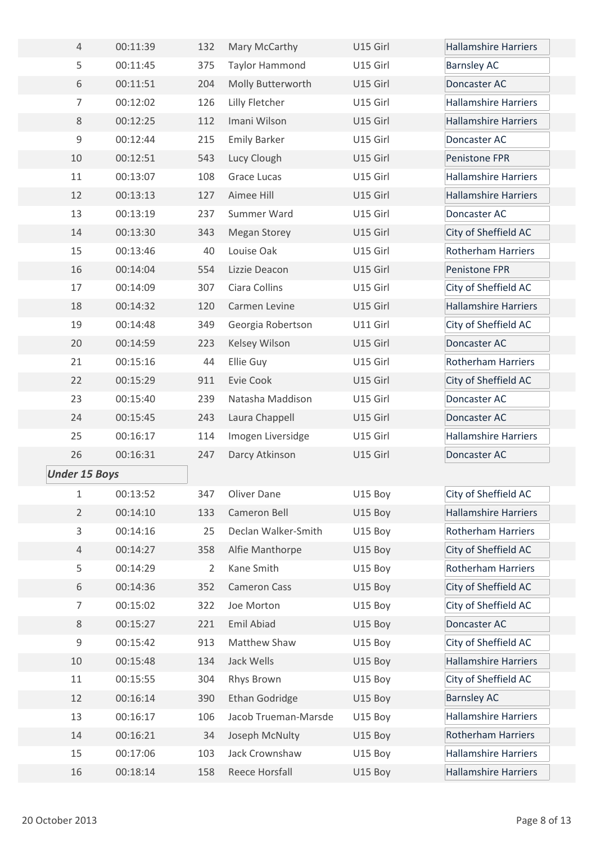| $\overline{4}$       | 00:11:39 | 132 | Mary McCarthy         | U15 Girl | <b>Hallamshire Harriers</b> |
|----------------------|----------|-----|-----------------------|----------|-----------------------------|
| 5                    | 00:11:45 | 375 | <b>Taylor Hammond</b> | U15 Girl | <b>Barnsley AC</b>          |
| 6                    | 00:11:51 | 204 | Molly Butterworth     | U15 Girl | Doncaster AC                |
| $\overline{7}$       | 00:12:02 | 126 | Lilly Fletcher        | U15 Girl | <b>Hallamshire Harriers</b> |
| 8                    | 00:12:25 | 112 | Imani Wilson          | U15 Girl | <b>Hallamshire Harriers</b> |
| $\mathsf 9$          | 00:12:44 | 215 | <b>Emily Barker</b>   | U15 Girl | Doncaster AC                |
| 10                   | 00:12:51 | 543 | Lucy Clough           | U15 Girl | Penistone FPR               |
| 11                   | 00:13:07 | 108 | <b>Grace Lucas</b>    | U15 Girl | <b>Hallamshire Harriers</b> |
| 12                   | 00:13:13 | 127 | Aimee Hill            | U15 Girl | <b>Hallamshire Harriers</b> |
| 13                   | 00:13:19 | 237 | Summer Ward           | U15 Girl | Doncaster AC                |
| 14                   | 00:13:30 | 343 | <b>Megan Storey</b>   | U15 Girl | City of Sheffield AC        |
| 15                   | 00:13:46 | 40  | Louise Oak            | U15 Girl | <b>Rotherham Harriers</b>   |
| 16                   | 00:14:04 | 554 | Lizzie Deacon         | U15 Girl | Penistone FPR               |
| 17                   | 00:14:09 | 307 | Ciara Collins         | U15 Girl | City of Sheffield AC        |
| 18                   | 00:14:32 | 120 | Carmen Levine         | U15 Girl | <b>Hallamshire Harriers</b> |
| 19                   | 00:14:48 | 349 | Georgia Robertson     | U11 Girl | City of Sheffield AC        |
| 20                   | 00:14:59 | 223 | Kelsey Wilson         | U15 Girl | Doncaster AC                |
| 21                   | 00:15:16 | 44  | Ellie Guy             | U15 Girl | <b>Rotherham Harriers</b>   |
| 22                   | 00:15:29 | 911 | Evie Cook             | U15 Girl | City of Sheffield AC        |
| 23                   | 00:15:40 | 239 | Natasha Maddison      | U15 Girl | Doncaster AC                |
| 24                   | 00:15:45 | 243 | Laura Chappell        | U15 Girl | Doncaster AC                |
| 25                   | 00:16:17 | 114 | Imogen Liversidge     | U15 Girl | <b>Hallamshire Harriers</b> |
| 26                   | 00:16:31 | 247 | Darcy Atkinson        | U15 Girl | Doncaster AC                |
| <b>Under 15 Boys</b> |          |     |                       |          |                             |
| $\mathbf{1}$         | 00:13:52 | 347 | Oliver Dane           | U15 Boy  | City of Sheffield AC        |
| $\overline{2}$       | 00:14:10 | 133 | Cameron Bell          | U15 Boy  | <b>Hallamshire Harriers</b> |
| 3                    | 00:14:16 | 25  | Declan Walker-Smith   | U15 Boy  | Rotherham Harriers          |
| $\overline{4}$       | 00:14:27 | 358 | Alfie Manthorpe       | U15 Boy  | City of Sheffield AC        |
| 5                    | 00:14:29 | 2   | Kane Smith            | U15 Boy  | <b>Rotherham Harriers</b>   |
| 6                    | 00:14:36 | 352 | <b>Cameron Cass</b>   | U15 Boy  | City of Sheffield AC        |
| $\overline{7}$       | 00:15:02 | 322 | Joe Morton            | U15 Boy  | City of Sheffield AC        |
| 8                    | 00:15:27 | 221 | Emil Abiad            | U15 Boy  | Doncaster AC                |
| 9                    | 00:15:42 | 913 | Matthew Shaw          | U15 Boy  | City of Sheffield AC        |
| $10\,$               | 00:15:48 | 134 | Jack Wells            | U15 Boy  | <b>Hallamshire Harriers</b> |
| 11                   | 00:15:55 | 304 | Rhys Brown            | U15 Boy  | City of Sheffield AC        |
| 12                   | 00:16:14 | 390 | <b>Ethan Godridge</b> | U15 Boy  | <b>Barnsley AC</b>          |
| 13                   | 00:16:17 | 106 | Jacob Trueman-Marsde  | U15 Boy  | <b>Hallamshire Harriers</b> |
| 14                   | 00:16:21 | 34  | Joseph McNulty        | U15 Boy  | Rotherham Harriers          |
| 15                   | 00:17:06 | 103 | Jack Crownshaw        | U15 Boy  | <b>Hallamshire Harriers</b> |
| 16                   | 00:18:14 | 158 | Reece Horsfall        | U15 Boy  | <b>Hallamshire Harriers</b> |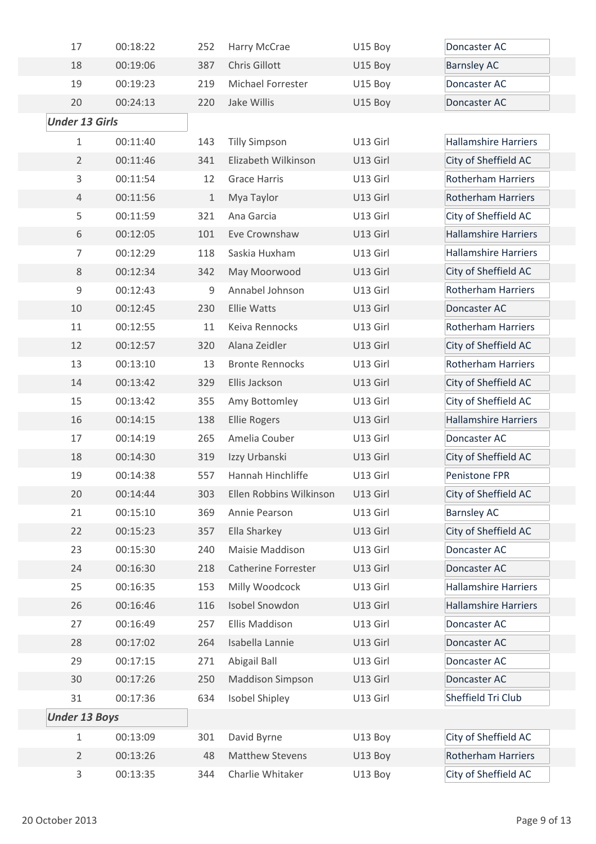| 17                    | 00:18:22 | 252          | Harry McCrae               | U15 Boy  | Doncaster AC                |
|-----------------------|----------|--------------|----------------------------|----------|-----------------------------|
| 18                    | 00:19:06 | 387          | Chris Gillott              | U15 Boy  | <b>Barnsley AC</b>          |
| 19                    | 00:19:23 | 219          | Michael Forrester          | U15 Boy  | Doncaster AC                |
| 20                    | 00:24:13 | 220          | Jake Willis                | U15 Boy  | Doncaster AC                |
| <b>Under 13 Girls</b> |          |              |                            |          |                             |
| $\mathbf{1}$          | 00:11:40 | 143          | <b>Tilly Simpson</b>       | U13 Girl | <b>Hallamshire Harriers</b> |
| $\overline{2}$        | 00:11:46 | 341          | Elizabeth Wilkinson        | U13 Girl | City of Sheffield AC        |
| 3                     | 00:11:54 | 12           | <b>Grace Harris</b>        | U13 Girl | <b>Rotherham Harriers</b>   |
| $\overline{4}$        | 00:11:56 | $\mathbf{1}$ | Mya Taylor                 | U13 Girl | <b>Rotherham Harriers</b>   |
| 5                     | 00:11:59 | 321          | Ana Garcia                 | U13 Girl | City of Sheffield AC        |
| 6                     | 00:12:05 | 101          | Eve Crownshaw              | U13 Girl | <b>Hallamshire Harriers</b> |
| $\overline{7}$        | 00:12:29 | 118          | Saskia Huxham              | U13 Girl | <b>Hallamshire Harriers</b> |
| 8                     | 00:12:34 | 342          | May Moorwood               | U13 Girl | City of Sheffield AC        |
| 9                     | 00:12:43 | 9            | Annabel Johnson            | U13 Girl | <b>Rotherham Harriers</b>   |
| 10                    | 00:12:45 | 230          | <b>Ellie Watts</b>         | U13 Girl | Doncaster AC                |
| 11                    | 00:12:55 | 11           | Keiva Rennocks             | U13 Girl | <b>Rotherham Harriers</b>   |
| 12                    | 00:12:57 | 320          | Alana Zeidler              | U13 Girl | City of Sheffield AC        |
| 13                    | 00:13:10 | 13           | <b>Bronte Rennocks</b>     | U13 Girl | <b>Rotherham Harriers</b>   |
| 14                    | 00:13:42 | 329          | Ellis Jackson              | U13 Girl | City of Sheffield AC        |
| 15                    | 00:13:42 | 355          | Amy Bottomley              | U13 Girl | City of Sheffield AC        |
| 16                    | 00:14:15 | 138          | <b>Ellie Rogers</b>        | U13 Girl | <b>Hallamshire Harriers</b> |
| 17                    | 00:14:19 | 265          | Amelia Couber              | U13 Girl | Doncaster AC                |
| 18                    | 00:14:30 | 319          | Izzy Urbanski              | U13 Girl | City of Sheffield AC        |
| 19                    | 00:14:38 | 557          | Hannah Hinchliffe          | U13 Girl | Penistone FPR               |
| 20                    | 00:14:44 | 303          | Ellen Robbins Wilkinson    | U13 Girl | City of Sheffield AC        |
| 21                    | 00:15:10 | 369          | Annie Pearson              | U13 Girl | <b>Barnsley AC</b>          |
| 22                    | 00:15:23 | 357          | Ella Sharkey               | U13 Girl | City of Sheffield AC        |
| 23                    | 00:15:30 | 240          | Maisie Maddison            | U13 Girl | Doncaster AC                |
| 24                    | 00:16:30 | 218          | <b>Catherine Forrester</b> | U13 Girl | Doncaster AC                |
| 25                    | 00:16:35 | 153          | Milly Woodcock             | U13 Girl | <b>Hallamshire Harriers</b> |
| 26                    | 00:16:46 | 116          | Isobel Snowdon             | U13 Girl | <b>Hallamshire Harriers</b> |
| 27                    | 00:16:49 | 257          | Ellis Maddison             | U13 Girl | Doncaster AC                |
| 28                    | 00:17:02 | 264          | Isabella Lannie            | U13 Girl | Doncaster AC                |
| 29                    | 00:17:15 | 271          | Abigail Ball               | U13 Girl | Doncaster AC                |
| 30                    | 00:17:26 | 250          | <b>Maddison Simpson</b>    | U13 Girl | Doncaster AC                |
| 31                    | 00:17:36 | 634          | <b>Isobel Shipley</b>      | U13 Girl | Sheffield Tri Club          |
| <b>Under 13 Boys</b>  |          |              |                            |          |                             |
| $\mathbf{1}$          | 00:13:09 | 301          | David Byrne                | U13 Boy  | City of Sheffield AC        |
| $\overline{2}$        | 00:13:26 | 48           | <b>Matthew Stevens</b>     | U13 Boy  | <b>Rotherham Harriers</b>   |
| 3                     | 00:13:35 | 344          | Charlie Whitaker           | U13 Boy  | City of Sheffield AC        |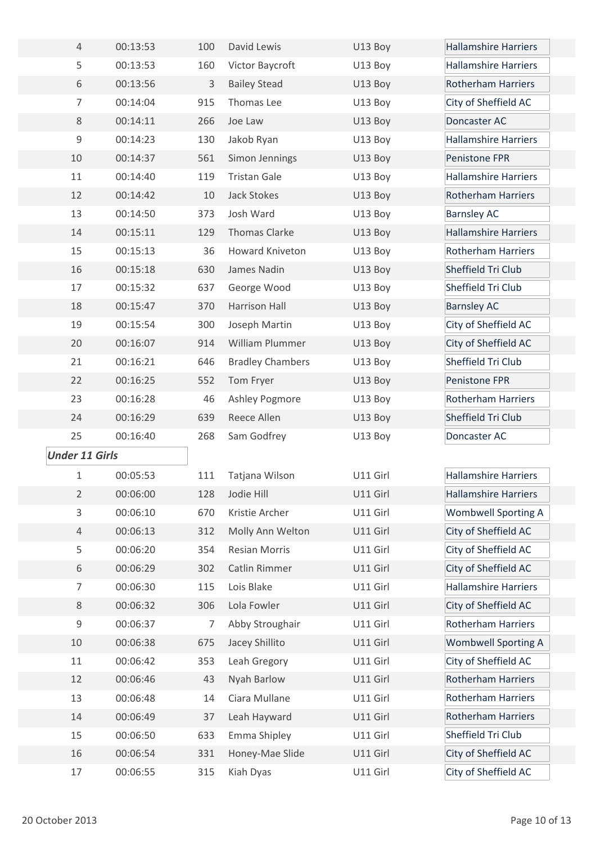| $\overline{4}$        | 00:13:53 | 100 | David Lewis             | U13 Boy  | <b>Hallamshire Harriers</b> |
|-----------------------|----------|-----|-------------------------|----------|-----------------------------|
| 5                     | 00:13:53 | 160 | Victor Baycroft         | U13 Boy  | <b>Hallamshire Harriers</b> |
| 6                     | 00:13:56 | 3   | <b>Bailey Stead</b>     | U13 Boy  | <b>Rotherham Harriers</b>   |
| $\overline{7}$        | 00:14:04 | 915 | Thomas Lee              | U13 Boy  | City of Sheffield AC        |
| 8                     | 00:14:11 | 266 | Joe Law                 | U13 Boy  | Doncaster AC                |
| $\mathsf 9$           | 00:14:23 | 130 | Jakob Ryan              | U13 Boy  | <b>Hallamshire Harriers</b> |
| 10                    | 00:14:37 | 561 | Simon Jennings          | U13 Boy  | Penistone FPR               |
| 11                    | 00:14:40 | 119 | <b>Tristan Gale</b>     | U13 Boy  | <b>Hallamshire Harriers</b> |
| 12                    | 00:14:42 | 10  | Jack Stokes             | U13 Boy  | <b>Rotherham Harriers</b>   |
| 13                    | 00:14:50 | 373 | Josh Ward               | U13 Boy  | <b>Barnsley AC</b>          |
| 14                    | 00:15:11 | 129 | Thomas Clarke           | U13 Boy  | <b>Hallamshire Harriers</b> |
| 15                    | 00:15:13 | 36  | <b>Howard Kniveton</b>  | U13 Boy  | <b>Rotherham Harriers</b>   |
| 16                    | 00:15:18 | 630 | James Nadin             | U13 Boy  | Sheffield Tri Club          |
| 17                    | 00:15:32 | 637 | George Wood             | U13 Boy  | Sheffield Tri Club          |
| 18                    | 00:15:47 | 370 | Harrison Hall           | U13 Boy  | <b>Barnsley AC</b>          |
| 19                    | 00:15:54 | 300 | Joseph Martin           | U13 Boy  | City of Sheffield AC        |
| 20                    | 00:16:07 | 914 | William Plummer         | U13 Boy  | City of Sheffield AC        |
| 21                    | 00:16:21 | 646 | <b>Bradley Chambers</b> | U13 Boy  | Sheffield Tri Club          |
| 22                    | 00:16:25 | 552 | Tom Fryer               | U13 Boy  | Penistone FPR               |
| 23                    | 00:16:28 | 46  | Ashley Pogmore          | U13 Boy  | <b>Rotherham Harriers</b>   |
| 24                    | 00:16:29 | 639 | Reece Allen             | U13 Boy  | Sheffield Tri Club          |
| 25                    | 00:16:40 | 268 | Sam Godfrey             | U13 Boy  | Doncaster AC                |
| <b>Under 11 Girls</b> |          |     |                         |          |                             |
| 1                     | 00:05:53 | 111 | Tatjana Wilson          | U11 Girl | <b>Hallamshire Harriers</b> |
| $\overline{2}$        | 00:06:00 | 128 | Jodie Hill              | U11 Girl | <b>Hallamshire Harriers</b> |
| $\mathsf{3}$          | 00:06:10 | 670 | Kristie Archer          | U11 Girl | <b>Wombwell Sporting A</b>  |
| $\overline{4}$        | 00:06:13 | 312 | Molly Ann Welton        | U11 Girl | City of Sheffield AC        |
| 5                     | 00:06:20 | 354 | <b>Resian Morris</b>    | U11 Girl | City of Sheffield AC        |
| 6                     | 00:06:29 | 302 | Catlin Rimmer           | U11 Girl | City of Sheffield AC        |
| $\overline{7}$        | 00:06:30 | 115 | Lois Blake              | U11 Girl | <b>Hallamshire Harriers</b> |
| 8                     | 00:06:32 | 306 | Lola Fowler             | U11 Girl | City of Sheffield AC        |
| $\mathsf 9$           | 00:06:37 | 7   | Abby Stroughair         | U11 Girl | <b>Rotherham Harriers</b>   |
| 10                    | 00:06:38 | 675 | Jacey Shillito          | U11 Girl | <b>Wombwell Sporting A</b>  |
| 11                    | 00:06:42 | 353 | Leah Gregory            | U11 Girl | City of Sheffield AC        |
| 12                    | 00:06:46 | 43  | Nyah Barlow             | U11 Girl | <b>Rotherham Harriers</b>   |
| 13                    | 00:06:48 | 14  | Ciara Mullane           | U11 Girl | <b>Rotherham Harriers</b>   |
| 14                    | 00:06:49 | 37  | Leah Hayward            | U11 Girl | <b>Rotherham Harriers</b>   |
| 15                    | 00:06:50 | 633 | Emma Shipley            | U11 Girl | Sheffield Tri Club          |
| 16                    | 00:06:54 | 331 | Honey-Mae Slide         | U11 Girl | City of Sheffield AC        |
| $17\,$                | 00:06:55 | 315 | Kiah Dyas               | U11 Girl | City of Sheffield AC        |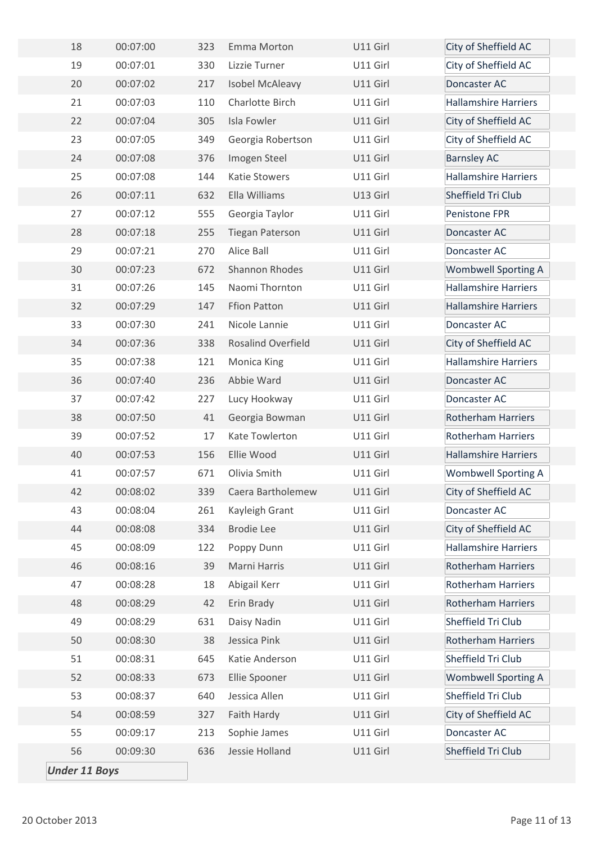| 18                   | 00:07:00 | 323 | Emma Morton            | U11 Girl | City of Sheffield AC        |
|----------------------|----------|-----|------------------------|----------|-----------------------------|
| 19                   | 00:07:01 | 330 | Lizzie Turner          | U11 Girl | City of Sheffield AC        |
| 20                   | 00:07:02 | 217 | Isobel McAleavy        | U11 Girl | Doncaster AC                |
| 21                   | 00:07:03 | 110 | Charlotte Birch        | U11 Girl | <b>Hallamshire Harriers</b> |
| 22                   | 00:07:04 | 305 | Isla Fowler            | U11 Girl | City of Sheffield AC        |
| 23                   | 00:07:05 | 349 | Georgia Robertson      | U11 Girl | City of Sheffield AC        |
| 24                   | 00:07:08 | 376 | Imogen Steel           | U11 Girl | <b>Barnsley AC</b>          |
| 25                   | 00:07:08 | 144 | <b>Katie Stowers</b>   | U11 Girl | <b>Hallamshire Harriers</b> |
| 26                   | 00:07:11 | 632 | Ella Williams          | U13 Girl | Sheffield Tri Club          |
| 27                   | 00:07:12 | 555 | Georgia Taylor         | U11 Girl | Penistone FPR               |
| 28                   | 00:07:18 | 255 | <b>Tiegan Paterson</b> | U11 Girl | Doncaster AC                |
| 29                   | 00:07:21 | 270 | Alice Ball             | U11 Girl | Doncaster AC                |
| 30                   | 00:07:23 | 672 | Shannon Rhodes         | U11 Girl | <b>Wombwell Sporting A</b>  |
| 31                   | 00:07:26 | 145 | Naomi Thornton         | U11 Girl | <b>Hallamshire Harriers</b> |
| 32                   | 00:07:29 | 147 | <b>Ffion Patton</b>    | U11 Girl | <b>Hallamshire Harriers</b> |
| 33                   | 00:07:30 | 241 | Nicole Lannie          | U11 Girl | Doncaster AC                |
| 34                   | 00:07:36 | 338 | Rosalind Overfield     | U11 Girl | City of Sheffield AC        |
| 35                   | 00:07:38 | 121 | Monica King            | U11 Girl | <b>Hallamshire Harriers</b> |
| 36                   | 00:07:40 | 236 | Abbie Ward             | U11 Girl | Doncaster AC                |
| 37                   | 00:07:42 | 227 | Lucy Hookway           | U11 Girl | Doncaster AC                |
| 38                   | 00:07:50 | 41  | Georgia Bowman         | U11 Girl | <b>Rotherham Harriers</b>   |
| 39                   | 00:07:52 | 17  | Kate Towlerton         | U11 Girl | <b>Rotherham Harriers</b>   |
| 40                   | 00:07:53 | 156 | Ellie Wood             | U11 Girl | <b>Hallamshire Harriers</b> |
| 41                   | 00:07:57 | 671 | Olivia Smith           | U11 Girl | <b>Wombwell Sporting A</b>  |
| 42                   | 00:08:02 | 339 | Caera Bartholemew      | U11 Girl | City of Sheffield AC        |
| 43                   | 00:08:04 | 261 | Kayleigh Grant         | U11 Girl | Doncaster AC                |
| 44                   | 00:08:08 | 334 | <b>Brodie Lee</b>      | U11 Girl | City of Sheffield AC        |
| 45                   | 00:08:09 | 122 | Poppy Dunn             | U11 Girl | <b>Hallamshire Harriers</b> |
| 46                   | 00:08:16 | 39  | Marni Harris           | U11 Girl | Rotherham Harriers          |
| 47                   | 00:08:28 | 18  | Abigail Kerr           | U11 Girl | <b>Rotherham Harriers</b>   |
| 48                   | 00:08:29 | 42  | Erin Brady             | U11 Girl | Rotherham Harriers          |
| 49                   | 00:08:29 | 631 | Daisy Nadin            | U11 Girl | Sheffield Tri Club          |
| 50                   | 00:08:30 | 38  | Jessica Pink           | U11 Girl | Rotherham Harriers          |
| 51                   | 00:08:31 | 645 | Katie Anderson         | U11 Girl | Sheffield Tri Club          |
| 52                   | 00:08:33 | 673 | Ellie Spooner          | U11 Girl | <b>Wombwell Sporting A</b>  |
| 53                   | 00:08:37 | 640 | Jessica Allen          | U11 Girl | Sheffield Tri Club          |
| 54                   | 00:08:59 | 327 | Faith Hardy            | U11 Girl | City of Sheffield AC        |
| 55                   | 00:09:17 | 213 | Sophie James           | U11 Girl | Doncaster AC                |
| 56                   | 00:09:30 | 636 | Jessie Holland         | U11 Girl | Sheffield Tri Club          |
| <b>Under 11 Boys</b> |          |     |                        |          |                             |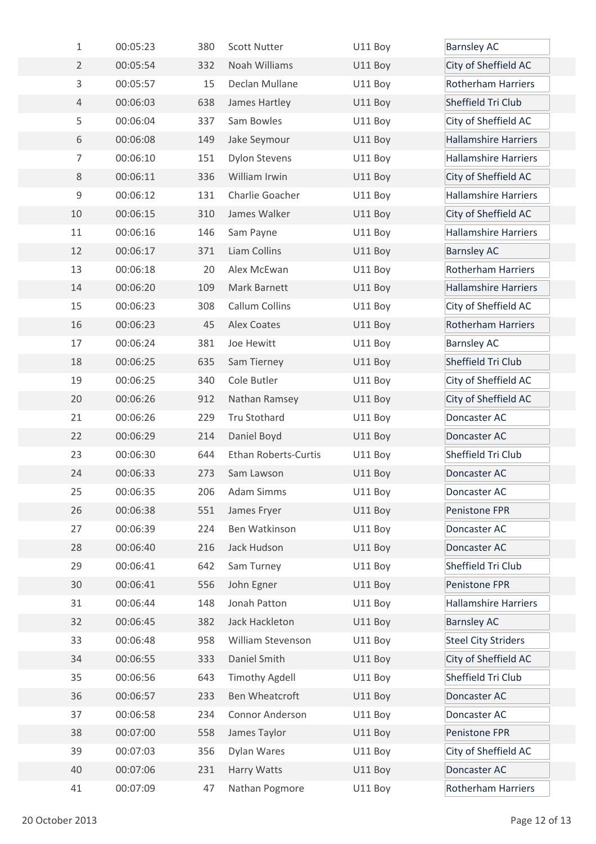| $\mathbf{1}$   | 00:05:23 | 380 | <b>Scott Nutter</b>         | U11 Boy | <b>Barnsley AC</b>          |
|----------------|----------|-----|-----------------------------|---------|-----------------------------|
| $\overline{2}$ | 00:05:54 | 332 | Noah Williams               | U11 Boy | City of Sheffield AC        |
| $\mathbf{3}$   | 00:05:57 | 15  | Declan Mullane              | U11 Boy | <b>Rotherham Harriers</b>   |
| $\overline{4}$ | 00:06:03 | 638 | James Hartley               | U11 Boy | Sheffield Tri Club          |
| 5              | 00:06:04 | 337 | Sam Bowles                  | U11 Boy | City of Sheffield AC        |
| 6              | 00:06:08 | 149 | Jake Seymour                | U11 Boy | <b>Hallamshire Harriers</b> |
| $\overline{7}$ | 00:06:10 | 151 | <b>Dylon Stevens</b>        | U11 Boy | <b>Hallamshire Harriers</b> |
| 8              | 00:06:11 | 336 | William Irwin               | U11 Boy | City of Sheffield AC        |
| $\mathsf 9$    | 00:06:12 | 131 | Charlie Goacher             | U11 Boy | <b>Hallamshire Harriers</b> |
| 10             | 00:06:15 | 310 | James Walker                | U11 Boy | City of Sheffield AC        |
| 11             | 00:06:16 | 146 | Sam Payne                   | U11 Boy | <b>Hallamshire Harriers</b> |
| 12             | 00:06:17 | 371 | Liam Collins                | U11 Boy | <b>Barnsley AC</b>          |
| 13             | 00:06:18 | 20  | Alex McEwan                 | U11 Boy | <b>Rotherham Harriers</b>   |
| 14             | 00:06:20 | 109 | Mark Barnett                | U11 Boy | <b>Hallamshire Harriers</b> |
| 15             | 00:06:23 | 308 | Callum Collins              | U11 Boy | City of Sheffield AC        |
| 16             | 00:06:23 | 45  | Alex Coates                 | U11 Boy | <b>Rotherham Harriers</b>   |
| 17             | 00:06:24 | 381 | Joe Hewitt                  | U11 Boy | <b>Barnsley AC</b>          |
| 18             | 00:06:25 | 635 | Sam Tierney                 | U11 Boy | Sheffield Tri Club          |
| 19             | 00:06:25 | 340 | Cole Butler                 | U11 Boy | City of Sheffield AC        |
| 20             | 00:06:26 | 912 | Nathan Ramsey               | U11 Boy | City of Sheffield AC        |
| 21             | 00:06:26 | 229 | <b>Tru Stothard</b>         | U11 Boy | Doncaster AC                |
| 22             | 00:06:29 | 214 | Daniel Boyd                 | U11 Boy | Doncaster AC                |
| 23             | 00:06:30 | 644 | <b>Ethan Roberts-Curtis</b> | U11 Boy | Sheffield Tri Club          |
| 24             | 00:06:33 | 273 | Sam Lawson                  | U11 Boy | Doncaster AC                |
| 25             | 00:06:35 | 206 | <b>Adam Simms</b>           | U11 Boy | Doncaster AC                |
| 26             | 00:06:38 | 551 | James Fryer                 | U11 Boy | Penistone FPR               |
| 27             | 00:06:39 | 224 | Ben Watkinson               | U11 Boy | Doncaster AC                |
| 28             | 00:06:40 | 216 | Jack Hudson                 | U11 Boy | Doncaster AC                |
| 29             | 00:06:41 | 642 | Sam Turney                  | U11 Boy | Sheffield Tri Club          |
| 30             | 00:06:41 | 556 | John Egner                  | U11 Boy | Penistone FPR               |
| 31             | 00:06:44 | 148 | Jonah Patton                | U11 Boy | <b>Hallamshire Harriers</b> |
| 32             | 00:06:45 | 382 | Jack Hackleton              | U11 Boy | <b>Barnsley AC</b>          |
| 33             | 00:06:48 | 958 | William Stevenson           | U11 Boy | <b>Steel City Striders</b>  |
| 34             | 00:06:55 | 333 | Daniel Smith                | U11 Boy | City of Sheffield AC        |
| 35             | 00:06:56 | 643 | <b>Timothy Agdell</b>       | U11 Boy | Sheffield Tri Club          |
| 36             | 00:06:57 | 233 | Ben Wheatcroft              | U11 Boy | Doncaster AC                |
| 37             | 00:06:58 | 234 | Connor Anderson             | U11 Boy | Doncaster AC                |
| 38             | 00:07:00 | 558 | James Taylor                | U11 Boy | Penistone FPR               |
| 39             | 00:07:03 | 356 | Dylan Wares                 | U11 Boy | City of Sheffield AC        |
| 40             | 00:07:06 | 231 | Harry Watts                 | U11 Boy | Doncaster AC                |
| 41             | 00:07:09 | 47  | Nathan Pogmore              | U11 Boy | Rotherham Harriers          |